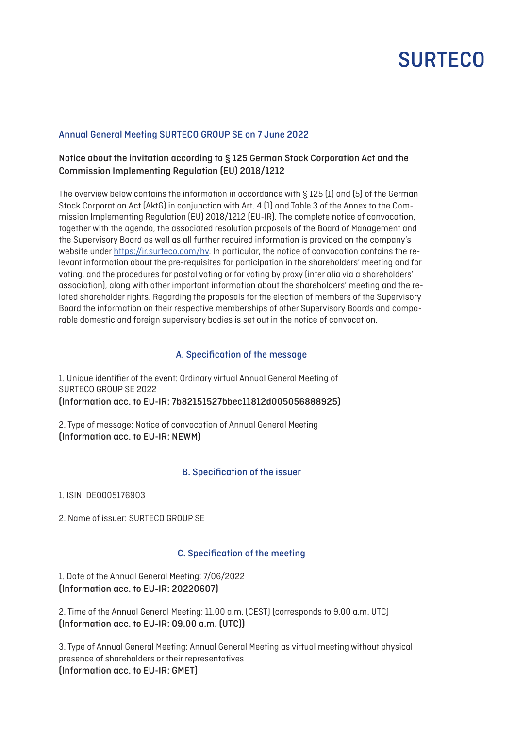# **SURTECO**

## Annual General Meeting SURTECO GROUP SE on 7 June 2022

# Notice about the invitation according to § 125 German Stock Corporation Act and the Commission Implementing Regulation (EU) 2018/1212

The overview below contains the information in accordance with § 125 (1) and (5) of the German Stock Corporation Act (AktG) in conjunction with Art. 4 (1) and Table 3 of the Annex to the Commission Implementing Regulation (EU) 2018/1212 (EU-IR). The complete notice of convocation, together with the agenda, the associated resolution proposals of the Board of Management and the Supervisory Board as well as all further required information is provided on the company's website under <https://ir.surteco.com/hv>. In particular, the notice of convocation contains the relevant information about the pre-requisites for participation in the shareholders' meeting and for voting, and the procedures for postal voting or for voting by proxy (inter alia via a shareholders' association), along with other important information about the shareholders' meeting and the related shareholder rights. Regarding the proposals for the election of members of the Supervisory Board the information on their respective memberships of other Supervisory Boards and comparable domestic and foreign supervisory bodies is set out in the notice of convocation.

#### A. Specification of the message

1. Unique identifier of the event: Ordinary virtual Annual General Meeting of SURTECO GROUP SE 2022 (Information acc. to EU-IR: 7b82151527bbec11812d005056888925)

2. Type of message: Notice of convocation of Annual General Meeting (Information acc. to EU-IR: NEWM)

#### B. Specification of the issuer

1. ISIN: DE0005176903

2. Name of issuer: SURTECO GROUP SE

#### C. Specification of the meeting

1. Date of the Annual General Meeting: 7/06/2022 (Information acc. to EU-IR: 20220607)

2. Time of the Annual General Meeting: 11.00 a.m. (CEST) (corresponds to 9.00 a.m. UTC) (Information acc. to EU-IR: 09.00 a.m. (UTC))

3. Type of Annual General Meeting: Annual General Meeting as virtual meeting without physical presence of shareholders or their representatives (Information acc. to EU-IR: GMET)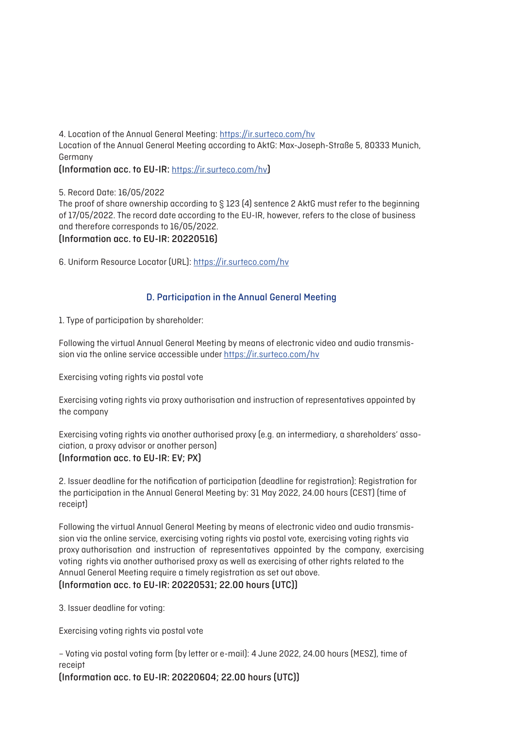4. Location of the Annual General Meeting: <https://ir.surteco.com/hv> Location of the Annual General Meeting according to AktG: Max-Joseph-Straße 5, 80333 Munich, Germany (Information acc. to EU-IR: <https://ir.surteco.com/hv>)

5. Record Date: 16/05/2022

The proof of share ownership according to § 123 (4) sentence 2 AktG must refer to the beginning of 17/05/2022. The record date according to the EU-IR, however, refers to the close of business and therefore corresponds to 16/05/2022.

(Information acc. to EU-IR: 20220516)

6. Uniform Resource Locator (URL): <https://ir.surteco.com/hv>

## D. Participation in the Annual General Meeting

1. Type of participation by shareholder:

Following the virtual Annual General Meeting by means of electronic video and audio transmission via the online service accessible under <https://ir.surteco.com/hv>

Exercising voting rights via postal vote

Exercising voting rights via proxy authorisation and instruction of representatives appointed by the company

Exercising voting rights via another authorised proxy (e.g. an intermediary, a shareholders' association, a proxy advisor or another person) (Information acc. to EU-IR: EV; PX)

2. Issuer deadline for the notification of participation (deadline for registration): Registration for the participation in the Annual General Meeting by: 31 May 2022, 24.00 hours (CEST) (time of receipt)

Following the virtual Annual General Meeting by means of electronic video and audio transmission via the online service, exercising voting rights via postal vote, exercising voting rights via proxy authorisation and instruction of representatives appointed by the company, exercising voting rights via another authorised proxy as well as exercising of other rights related to the Annual General Meeting require a timely registration as set out above. (Information acc. to EU-IR: 20220531; 22.00 hours (UTC))

3. Issuer deadline for voting:

Exercising voting rights via postal vote

– Voting via postal voting form (by letter or e-mail): 4 June 2022, 24.00 hours (MESZ), time of receipt

(Information acc. to EU-IR: 20220604; 22.00 hours (UTC))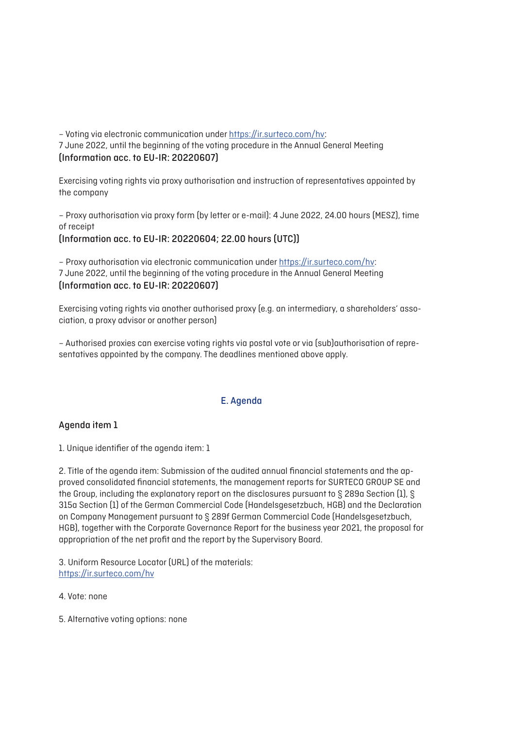– Voting via electronic communication under <https://ir.surteco.com/hv>: 7 June 2022, until the beginning of the voting procedure in the Annual General Meeting (Information acc. to EU-IR: 20220607)

Exercising voting rights via proxy authorisation and instruction of representatives appointed by the company

– Proxy authorisation via proxy form (by letter or e-mail): 4 June 2022, 24.00 hours (MESZ), time of receipt

(Information acc. to EU-IR: 20220604; 22.00 hours (UTC))

– Proxy authorisation via electronic communication under <https://ir.surteco.com/hv>: 7 June 2022, until the beginning of the voting procedure in the Annual General Meeting (Information acc. to EU-IR: 20220607)

Exercising voting rights via another authorised proxy (e.g. an intermediary, a shareholders' association, a proxy advisor or another person)

– Authorised proxies can exercise voting rights via postal vote or via (sub)authorisation of representatives appointed by the company. The deadlines mentioned above apply.

## E. Agenda

## Agenda item 1

1. Unique identifier of the agenda item: 1

2. Title of the agenda item: Submission of the audited annual financial statements and the approved consolidated financial statements, the management reports for SURTECO GROUP SE and the Group, including the explanatory report on the disclosures pursuant to § 289a Section (1), § 315a Section (1) of the German Commercial Code (Handelsgesetzbuch, HGB) and the Declaration on Company Management pursuant to § 289f German Commercial Code (Handelsgesetzbuch, HGB), together with the Corporate Governance Report for the business year 2021, the proposal for appropriation of the net profit and the report by the Supervisory Board.

3. Uniform Resource Locator (URL) of the materials: <https://ir.surteco.com/hv>

4. Vote: none

5. Alternative voting options: none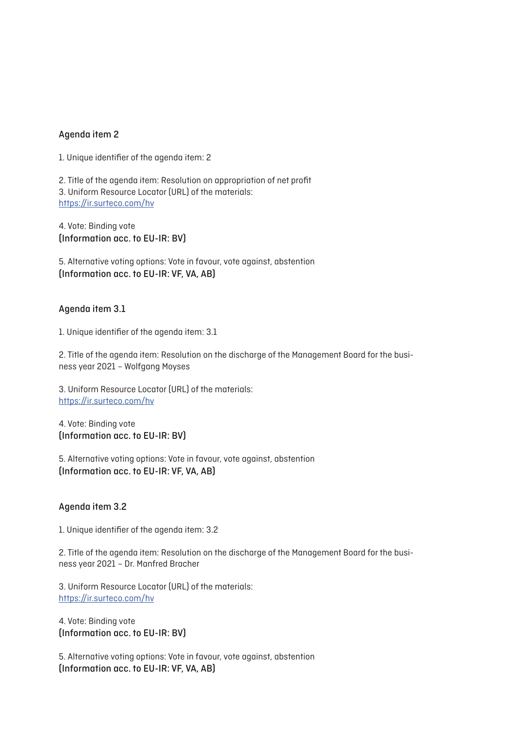## Agenda item 2

1. Unique identifier of the agenda item: 2

2. Title of the agenda item: Resolution on appropriation of net profit 3. Uniform Resource Locator (URL) of the materials: <https://ir.surteco.com/hv>

4. Vote: Binding vote (Information acc. to EU-IR: BV)

5. Alternative voting options: Vote in favour, vote against, abstention (Information acc. to EU-IR: VF, VA, AB)

## Agenda item 3.1

1. Unique identifier of the agenda item: 3.1

2. Title of the agenda item: Resolution on the discharge of the Management Board for the business year 2021 – Wolfgang Moyses

3. Uniform Resource Locator (URL) of the materials: <https://ir.surteco.com/hv>

4. Vote: Binding vote (Information acc. to EU-IR: BV)

5. Alternative voting options: Vote in favour, vote against, abstention (Information acc. to EU-IR: VF, VA, AB)

#### Agenda item 3.2

1. Unique identifier of the agenda item: 3.2

2. Title of the agenda item: Resolution on the discharge of the Management Board for the business year 2021 – Dr. Manfred Bracher

3. Uniform Resource Locator (URL) of the materials: <https://ir.surteco.com/hv>

4. Vote: Binding vote (Information acc. to EU-IR: BV)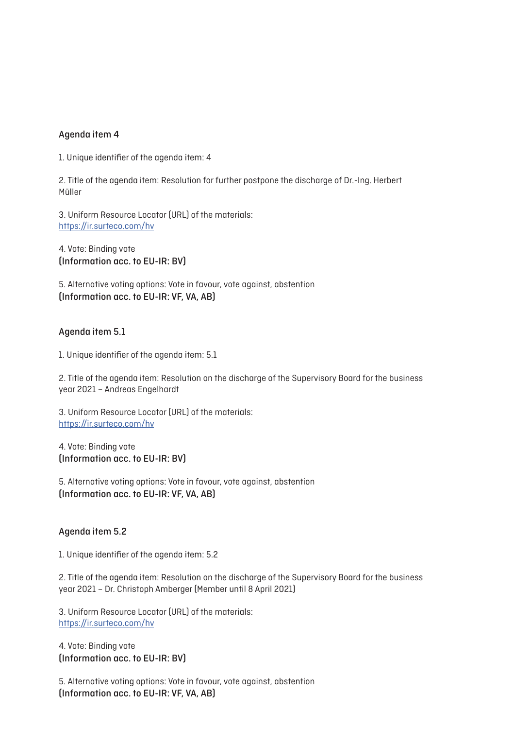## Agenda item 4

1. Unique identifier of the agenda item: 4

2. Title of the agenda item: Resolution for further postpone the discharge of Dr.-Ing. Herbert Müller

3. Uniform Resource Locator (URL) of the materials: <https://ir.surteco.com/hv>

4. Vote: Binding vote (Information acc. to EU-IR: BV)

5. Alternative voting options: Vote in favour, vote against, abstention (Information acc. to EU-IR: VF, VA, AB)

## Agenda item 5.1

1. Unique identifier of the agenda item: 5.1

2. Title of the agenda item: Resolution on the discharge of the Supervisory Board for the business year 2021 – Andreas Engelhardt

3. Uniform Resource Locator (URL) of the materials: <https://ir.surteco.com/hv>

4. Vote: Binding vote (Information acc. to EU-IR: BV)

5. Alternative voting options: Vote in favour, vote against, abstention (Information acc. to EU-IR: VF, VA, AB)

#### Agenda item 5.2

1. Unique identifier of the agenda item: 5.2

2. Title of the agenda item: Resolution on the discharge of the Supervisory Board for the business year 2021 – Dr. Christoph Amberger (Member until 8 April 2021)

3. Uniform Resource Locator (URL) of the materials: <https://ir.surteco.com/hv>

4. Vote: Binding vote (Information acc. to EU-IR: BV)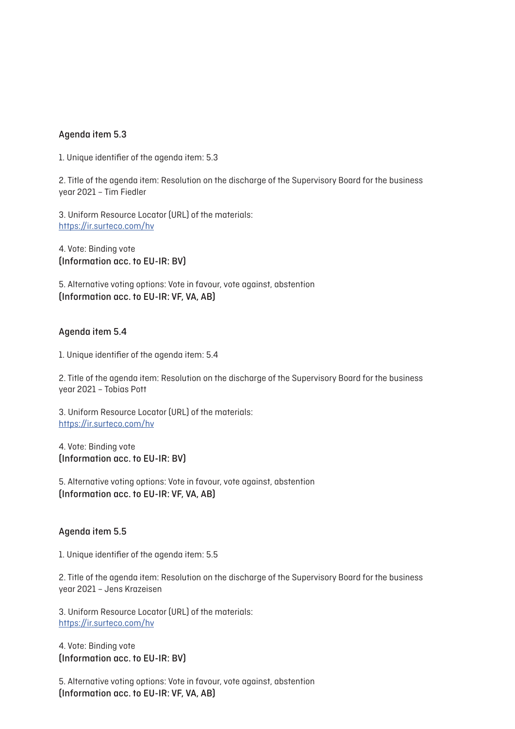## Agenda item 5.3

1. Unique identifier of the agenda item: 5.3

2. Title of the agenda item: Resolution on the discharge of the Supervisory Board for the business year 2021 – Tim Fiedler

3. Uniform Resource Locator (URL) of the materials: <https://ir.surteco.com/hv>

4. Vote: Binding vote (Information acc. to EU-IR: BV)

5. Alternative voting options: Vote in favour, vote against, abstention (Information acc. to EU-IR: VF, VA, AB)

#### Agenda item 5.4

1. Unique identifier of the agenda item: 5.4

2. Title of the agenda item: Resolution on the discharge of the Supervisory Board for the business year 2021 – Tobias Pott

3. Uniform Resource Locator (URL) of the materials: <https://ir.surteco.com/hv>

4. Vote: Binding vote (Information acc. to EU-IR: BV)

5. Alternative voting options: Vote in favour, vote against, abstention (Information acc. to EU-IR: VF, VA, AB)

#### Agenda item 5.5

1. Unique identifier of the agenda item: 5.5

2. Title of the agenda item: Resolution on the discharge of the Supervisory Board for the business year 2021 – Jens Krazeisen

3. Uniform Resource Locator (URL) of the materials: <https://ir.surteco.com/hv>

4. Vote: Binding vote (Information acc. to EU-IR: BV)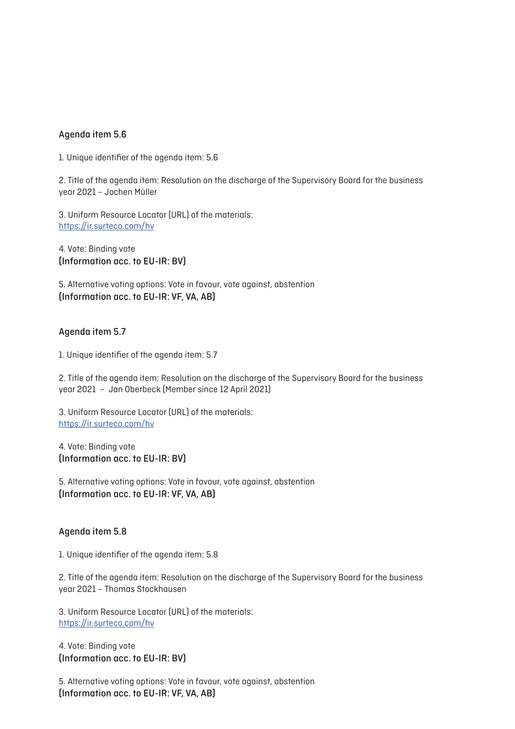## Agenda item 5.6

1. Unique identifier of the agenda item: 5.6

2. Title of the agenda item: Resolution on the discharge of the Supervisory Board for the business year 2021 – Jochen Müller

3. Uniform Resource Locator (URL) of the materials: <https://ir.surteco.com/hv>

4. Vote: Binding vote (Information acc. to EU-IR: BV)

5. Alternative voting options: Vote in favour, vote against, abstention (Information acc. to EU-IR: VF, VA, AB)

## Agenda item 5.7

1. Unique identifier of the agenda item: 5.7

2. Title of the agenda item: Resolution on the discharge of the Supervisory Board for the business year 2021 – Jan Oberbeck (Member since 12 April 2021)

3. Uniform Resource Locator (URL) of the materials: <https://ir.surteco.com/hv>

4. Vote: Binding vote (Information acc. to EU-IR: BV)

5. Alternative voting options: Vote in favour, vote against, abstention (Information acc. to EU-IR: VF, VA, AB)

#### Agenda item 5.8

1. Unique identifier of the agenda item: 5.8

2. Title of the agenda item: Resolution on the discharge of the Supervisory Board for the business year 2021 – Thomas Stockhausen

3. Uniform Resource Locator (URL) of the materials: <https://ir.surteco.com/hv>

4. Vote: Binding vote (Information acc. to EU-IR: BV)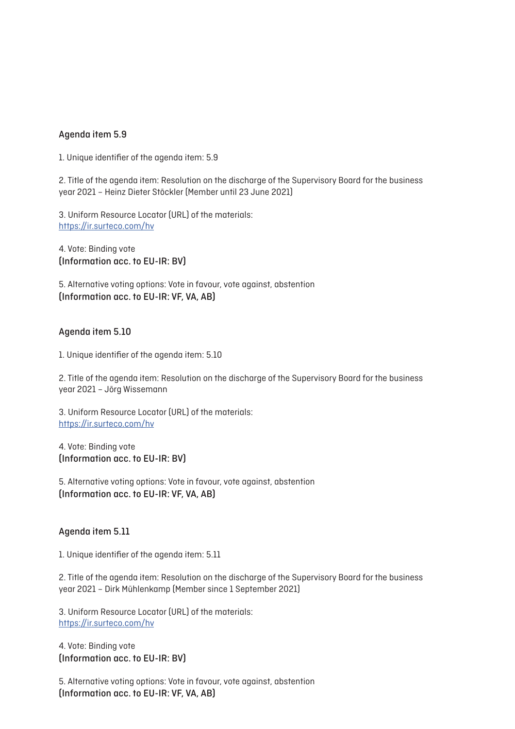## Agenda item 5.9

1. Unique identifier of the agenda item: 5.9

2. Title of the agenda item: Resolution on the discharge of the Supervisory Board for the business year 2021 – Heinz Dieter Stöckler (Member until 23 June 2021)

3. Uniform Resource Locator (URL) of the materials: <https://ir.surteco.com/hv>

4. Vote: Binding vote (Information acc. to EU-IR: BV)

5. Alternative voting options: Vote in favour, vote against, abstention (Information acc. to EU-IR: VF, VA, AB)

## Agenda item 5.10

1. Unique identifier of the agenda item: 5.10

2. Title of the agenda item: Resolution on the discharge of the Supervisory Board for the business year 2021 – Jörg Wissemann

3. Uniform Resource Locator (URL) of the materials: <https://ir.surteco.com/hv>

4. Vote: Binding vote (Information acc. to EU-IR: BV)

5. Alternative voting options: Vote in favour, vote against, abstention (Information acc. to EU-IR: VF, VA, AB)

#### Agenda item 5.11

1. Unique identifier of the agenda item: 5.11

2. Title of the agenda item: Resolution on the discharge of the Supervisory Board for the business year 2021 – Dirk Mühlenkamp (Member since 1 September 2021)

3. Uniform Resource Locator (URL) of the materials: <https://ir.surteco.com/hv>

4. Vote: Binding vote (Information acc. to EU-IR: BV)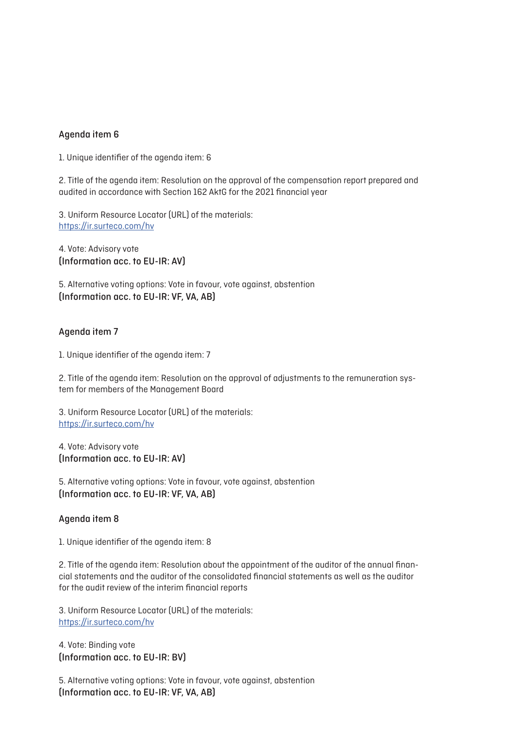## Agenda item 6

1. Unique identifier of the agenda item: 6

2. Title of the agenda item: Resolution on the approval of the compensation report prepared and audited in accordance with Section 162 AktG for the 2021 financial year

3. Uniform Resource Locator (URL) of the materials: <https://ir.surteco.com/hv>

4. Vote: Advisory vote (Information acc. to EU-IR: AV)

5. Alternative voting options: Vote in favour, vote against, abstention (Information acc. to EU-IR: VF, VA, AB)

#### Agenda item 7

1. Unique identifier of the agenda item: 7

2. Title of the agenda item: Resolution on the approval of adjustments to the remuneration system for members of the Management Board

3. Uniform Resource Locator (URL) of the materials: <https://ir.surteco.com/hv>

4. Vote: Advisory vote (Information acc. to EU-IR: AV)

5. Alternative voting options: Vote in favour, vote against, abstention (Information acc. to EU-IR: VF, VA, AB)

## Agenda item 8

1. Unique identifier of the agenda item: 8

2. Title of the agenda item: Resolution about the appointment of the auditor of the annual financial statements and the auditor of the consolidated financial statements as well as the auditor for the audit review of the interim financial reports

3. Uniform Resource Locator (URL) of the materials: <https://ir.surteco.com/hv>

4. Vote: Binding vote (Information acc. to EU-IR: BV)